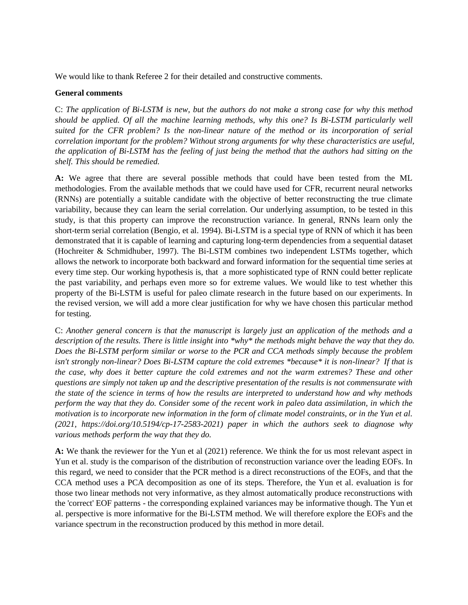We would like to thank Referee 2 for their detailed and constructive comments.

#### **General comments**

C: *The application of Bi-LSTM is new, but the authors do not make a strong case for why this method should be applied. Of all the machine learning methods, why this one? Is Bi-LSTM particularly well suited for the CFR problem? Is the non-linear nature of the method or its incorporation of serial correlation important for the problem? Without strong arguments for why these characteristics are useful, the application of Bi-LSTM has the feeling of just being the method that the authors had sitting on the shelf. This should be remedied.*

**A:** We agree that there are several possible methods that could have been tested from the ML methodologies. From the available methods that we could have used for CFR, recurrent neural networks (RNNs) are potentially a suitable candidate with the objective of better reconstructing the true climate variability, because they can learn the serial correlation. Our underlying assumption, to be tested in this study, is that this property can improve the reconstruction variance. In general, RNNs learn only the short-term serial correlation [\(Bengio, et al. 1994](http://www-dsi.ing.unifi.it/~paolo/ps/tnn-94-gradient.pdf)). Bi-LSTM is a special type of RNN of which it has been demonstrated that it is capable of learning and capturing long-term dependencies from a sequential dataset (Hochreiter & Schmidhuber, 1997). The Bi-LSTM combines two independent LSTMs together, which allows the network to incorporate both backward and forward information for the sequential time series at every time step. Our working hypothesis is, that a more sophisticated type of RNN could better replicate the past variability, and perhaps even more so for extreme values. We would like to test whether this property of the Bi-LSTM is useful for paleo climate research in the future based on our experiments. In the revised version, we will add a more clear justification for why we have chosen this particular method for testing.

C: *Another general concern is that the manuscript is largely just an application of the methods and a description of the results. There is little insight into \*why\* the methods might behave the way that they do. Does the Bi-LSTM perform similar or worse to the PCR and CCA methods simply because the problem isn't strongly non-linear? Does Bi-LSTM capture the cold extremes \*because\* it is non-linear? If that is the case, why does it better capture the cold extremes and not the warm extremes? These and other questions are simply not taken up and the descriptive presentation of the results is not commensurate with the state of the science in terms of how the results are interpreted to understand how and why methods perform the way that they do. Consider some of the recent work in paleo data assimilation, in which the motivation is to incorporate new information in the form of climate model constraints, or in the Yun et al. (2021, https://doi.org/10.5194/cp-17-2583-2021) paper in which the authors seek to diagnose why various methods perform the way that they do.*

**A:** We thank the reviewer for the Yun et al (2021) reference. We think the for us most relevant aspect in Yun et al. study is the comparison of the distribution of reconstruction variance over the leading EOFs. In this regard, we need to consider that the PCR method is a direct reconstructions of the EOFs, and that the CCA method uses a PCA decomposition as one of its steps. Therefore, the Yun et al. evaluation is for those two linear methods not very informative, as they almost automatically produce reconstructions with the 'correct' EOF patterns - the corresponding explained variances may be informative though. The Yun et al. perspective is more informative for the Bi-LSTM method. We will therefore explore the EOFs and the variance spectrum in the reconstruction produced by this method in more detail.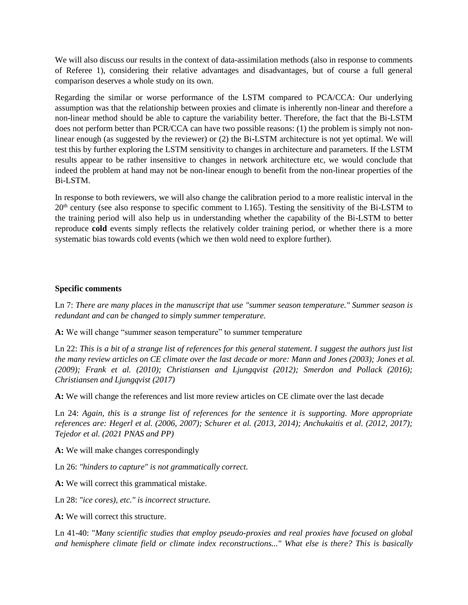We will also discuss our results in the context of data-assimilation methods (also in response to comments of Referee 1), considering their relative advantages and disadvantages, but of course a full general comparison deserves a whole study on its own.

Regarding the similar or worse performance of the LSTM compared to PCA/CCA: Our underlying assumption was that the relationship between proxies and climate is inherently non-linear and therefore a non-linear method should be able to capture the variability better. Therefore, the fact that the Bi-LSTM does not perform better than PCR/CCA can have two possible reasons: (1) the problem is simply not nonlinear enough (as suggested by the reviewer) or (2) the Bi-LSTM architecture is not yet optimal. We will test this by further exploring the LSTM sensitivity to changes in architecture and parameters. If the LSTM results appear to be rather insensitive to changes in network architecture etc, we would conclude that indeed the problem at hand may not be non-linear enough to benefit from the non-linear properties of the Bi-LSTM.

In response to both reviewers, we will also change the calibration period to a more realistic interval in the  $20<sup>th</sup>$  century (see also response to specific comment to l.165). Testing the sensitivity of the Bi-LSTM to the training period will also help us in understanding whether the capability of the Bi-LSTM to better reproduce **cold** events simply reflects the relatively colder training period, or whether there is a more systematic bias towards cold events (which we then wold need to explore further).

## **Specific comments**

Ln 7: *There are many places in the manuscript that use "summer season temperature." Summer season is redundant and can be changed to simply summer temperature.*

**A:** We will change "summer season temperature" to summer temperature

Ln 22: *This is a bit of a strange list of references for this general statement. I suggest the authors just list the many review articles on CE climate over the last decade or more: Mann and Jones (2003); Jones et al. (2009); Frank et al. (2010); Christiansen and Ljungqvist (2012); Smerdon and Pollack (2016); Christiansen and Ljungqvist (2017)*

**A:** We will change the references and list more review articles on CE climate over the last decade

Ln 24: *Again, this is a strange list of references for the sentence it is supporting. More appropriate references are: Hegerl et al. (2006, 2007); Schurer et al. (2013, 2014); Anchukaitis et al. (2012, 2017); Tejedor et al. (2021 PNAS and PP)*

**A:** We will make changes correspondingly

Ln 26: *"hinders to capture" is not grammatically correct.*

**A:** We will correct this grammatical mistake.

Ln 28: *"ice cores), etc." is incorrect structure.*

**A:** We will correct this structure.

Ln 41-40: "*Many scientific studies that employ pseudo-proxies and real proxies have focused on global and hemisphere climate field or climate index reconstructions..." What else is there? This is basically*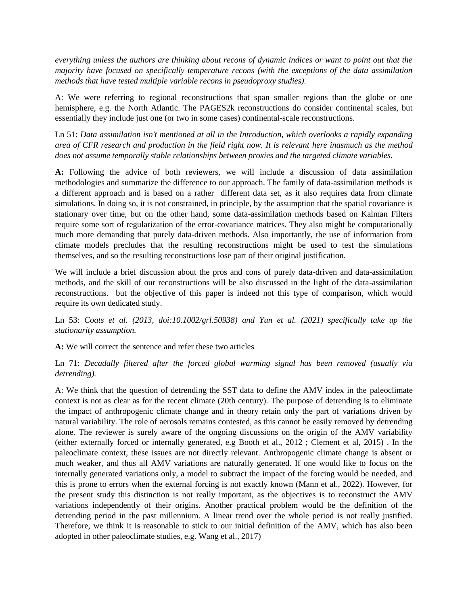*everything unless the authors are thinking about recons of dynamic indices or want to point out that the majority have focused on specifically temperature recons (with the exceptions of the data assimilation methods that have tested multiple variable recons in pseudoproxy studies).*

A: We were referring to regional reconstructions that span smaller regions than the globe or one hemisphere, e.g. the North Atlantic. The PAGES2k reconstructions do consider continental scales, but essentially they include just one (or two in some cases) continental-scale reconstructions.

Ln 51: *Data assimilation isn't mentioned at all in the Introduction, which overlooks a rapidly expanding area of CFR research and production in the field right now. It is relevant here inasmuch as the method does not assume temporally stable relationships between proxies and the targeted climate variables.*

**A:** Following the advice of both reviewers, we will include a discussion of data assimilation methodologies and summarize the difference to our approach. The family of data-assimilation methods is a different approach and is based on a rather different data set, as it also requires data from climate simulations. In doing so, it is not constrained, in principle, by the assumption that the spatial covariance is stationary over time, but on the other hand, some data-assimilation methods based on Kalman Filters require some sort of regularization of the error-covariance matrices. They also might be computationally much more demanding that purely data-driven methods. Also importantly, the use of information from climate models precludes that the resulting reconstructions might be used to test the simulations themselves, and so the resulting reconstructions lose part of their original justification.

We will include a brief discussion about the pros and cons of purely data-driven and data-assimilation methods, and the skill of our reconstructions will be also discussed in the light of the data-assimilation reconstructions. but the objective of this paper is indeed not this type of comparison, which would require its own dedicated study.

Ln 53: *Coats et al. (2013, doi:10.1002/grl.50938) and Yun et al. (2021) specifically take up the stationarity assumption.*

**A:** We will correct the sentence and refer these two articles

Ln 71: *Decadally filtered after the forced global warming signal has been removed (usually via detrending).*

A: We think that the question of detrending the SST data to define the AMV index in the paleoclimate context is not as clear as for the recent climate (20th century). The purpose of detrending is to eliminate the impact of anthropogenic climate change and in theory retain only the part of variations driven by natural variability. The role of aerosols remains contested, as this cannot be easily removed by detrending alone. The reviewer is surely aware of the ongoing discussions on the origin of the AMV variability (either externally forced or internally generated, e.g Booth et al., 2012 ; Clement et al, 2015) . In the paleoclimate context, these issues are not directly relevant. Anthropogenic climate change is absent or much weaker, and thus all AMV variations are naturally generated. If one would like to focus on the internally generated variations only, a model to subtract the impact of the forcing would be needed, and this is prone to errors when the external forcing is not exactly known (Mann et al., 2022). However, for the present study this distinction is not really important, as the objectives is to reconstruct the AMV variations independently of their origins. Another practical problem would be the definition of the detrending period in the past millennium. A linear trend over the whole period is not really justified. Therefore, we think it is reasonable to stick to our initial definition of the AMV, which has also been adopted in other paleoclimate studies, e.g. Wang et al., 2017)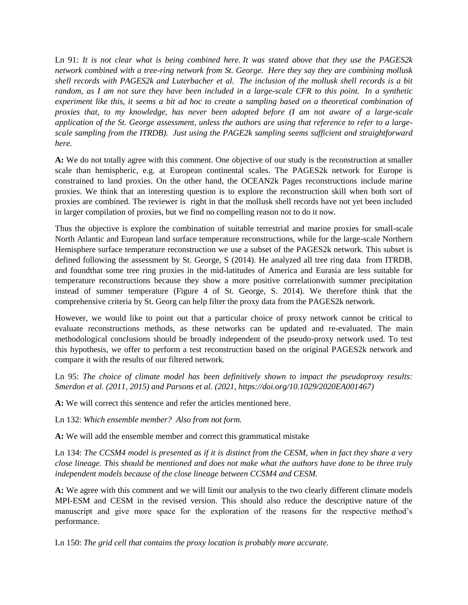Ln 91: *It is not clear what is being combined here. It was stated above that they use the PAGES2k network combined with a tree-ring network from St. George. Here they say they are combining mollusk shell records with PAGES2k and Luterbacher et al. The inclusion of the mollusk shell records is a bit random, as I am not sure they have been included in a large-scale CFR to this point. In a synthetic experiment like this, it seems a bit ad hoc to create a sampling based on a theoretical combination of proxies that, to my knowledge, has never been adopted before (I am not aware of a large-scale application of the St. George assessment, unless the authors are using that reference to refer to a largescale sampling from the ITRDB). Just using the PAGE2k sampling seems sufficient and straightforward here.*

**A:** We do not totally agree with this comment. One objective of our study is the reconstruction at smaller scale than hemispheric, e.g. at European continental scales. The PAGES2k network for Europe is constrained to land proxies. On the other hand, the OCEAN2k Pages reconstructions include marine proxies. We think that an interesting question is to explore the reconstruction skill when both sort of proxies are combined. The reviewer is right in that the mollusk shell records have not yet been included in larger compilation of proxies, but we find no compelling reason not to do it now.

Thus the objective is explore the combination of suitable terrestrial and marine proxies for small-scale North Atlantic and European land surface temperature reconstructions, while for the large-scale Northern Hemisphere surface temperature reconstruction we use a subset of the PAGES2k network. This subset is defined following the assessment by St. George, S (2014). He analyzed all tree ring data from ITRDB, and foundthat some tree ring proxies in the mid-latitudes of America and Eurasia are less suitable for temperature reconstructions because they show a more positive correlationwith summer precipitation instead of summer temperature (Figure 4 of St. George, S. 2014). We therefore think that the comprehensive criteria by St. Georg can help filter the proxy data from the PAGES2k network.

However, we would like to point out that a particular choice of proxy network cannot be critical to evaluate reconstructions methods, as these networks can be updated and re-evaluated. The main methodological conclusions should be broadly independent of the pseudo-proxy network used. To test this hypothesis, we offer to perform a test reconstruction based on the original PAGES2k network and compare it with the results of our filtered network.

Ln 95: *The choice of climate model has been definitively shown to impact the pseudoproxy results: Smerdon et al. (2011, 2015) and Parsons et al. (2021, https://doi.org/10.1029/2020EA001467)*

**A:** We will correct this sentence and refer the articles mentioned here.

Ln 132: *Which ensemble member? Also from not form.*

**A:** We will add the ensemble member and correct this grammatical mistake

Ln 134: *The CCSM4 model is presented as if it is distinct from the CESM, when in fact they share a very close lineage. This should be mentioned and does not make what the authors have done to be three truly independent models because of the close lineage between CCSM4 and CESM.*

**A:** We agree with this comment and we will limit our analysis to the two clearly different climate models MPI-ESM and CESM in the revised version. This should also reduce the descriptive nature of the manuscript and give more space for the exploration of the reasons for the respective method's performance.

Ln 150: *The grid cell that contains the proxy location is probably more accurate.*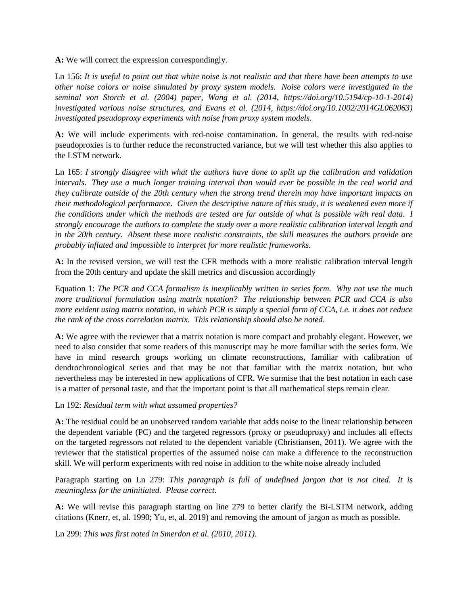**A:** We will correct the expression correspondingly.

Ln 156: *It is useful to point out that white noise is not realistic and that there have been attempts to use other noise colors or noise simulated by proxy system models. Noise colors were investigated in the seminal von Storch et al. (2004) paper, Wang et al. (2014, https://doi.org/10.5194/cp-10-1-2014) investigated various noise structures, and Evans et al. (2014, https://doi.org/10.1002/2014GL062063) investigated pseudoproxy experiments with noise from proxy system models.*

**A:** We will include experiments with red-noise contamination. In general, the results with red-noise pseudoproxies is to further reduce the reconstructed variance, but we will test whether this also applies to the LSTM network.

Ln 165: *I strongly disagree with what the authors have done to split up the calibration and validation intervals. They use a much longer training interval than would ever be possible in the real world and they calibrate outside of the 20th century when the strong trend therein may have important impacts on their methodological performance. Given the descriptive nature of this study, it is weakened even more if the conditions under which the methods are tested are far outside of what is possible with real data. I strongly encourage the authors to complete the study over a more realistic calibration interval length and in the 20th century. Absent these more realistic constraints, the skill measures the authors provide are probably inflated and impossible to interpret for more realistic frameworks.*

**A:** In the revised version, we will test the CFR methods with a more realistic calibration interval length from the 20th century and update the skill metrics and discussion accordingly

Equation 1: *The PCR and CCA formalism is inexplicably written in series form. Why not use the much more traditional formulation using matrix notation? The relationship between PCR and CCA is also more evident using matrix notation, in which PCR is simply a special form of CCA, i.e. it does not reduce the rank of the cross correlation matrix. This relationship should also be noted.*

**A:** We agree with the reviewer that a matrix notation is more compact and probably elegant. However, we need to also consider that some readers of this manuscript may be more familiar with the series form. We have in mind research groups working on climate reconstructions, familiar with calibration of dendrochronological series and that may be not that familiar with the matrix notation, but who nevertheless may be interested in new applications of CFR. We surmise that the best notation in each case is a matter of personal taste, and that the important point is that all mathematical steps remain clear.

## Ln 192: *Residual term with what assumed properties?*

**A:** The residual could be an unobserved random variable that adds noise to the linear relationship between the dependent variable (PC) and the targeted regressors (proxy or pseudoproxy) and includes all effects on the targeted regressors not related to the dependent variable (Christiansen, 2011). We agree with the reviewer that the statistical properties of the assumed noise can make a difference to the reconstruction skill. We will perform experiments with red noise in addition to the white noise already included

Paragraph starting on Ln 279: *This paragraph is full of undefined jargon that is not cited. It is meaningless for the uninitiated. Please correct.*

**A:** We will revise this paragraph starting on line 279 to better clarify the Bi-LSTM network, adding citations (Knerr, et, al. 1990; Yu, et, al. 2019) and removing the amount of jargon as much as possible.

Ln 299: *This was first noted in Smerdon et al. (2010, 2011).*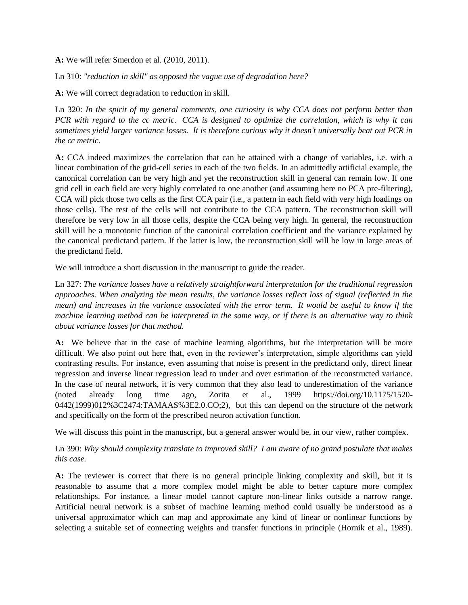**A:** We will refer Smerdon et al. (2010, 2011).

Ln 310: *"reduction in skill" as opposed the vague use of degradation here?*

**A:** We will correct degradation to reduction in skill.

Ln 320: *In the spirit of my general comments, one curiosity is why CCA does not perform better than PCR with regard to the cc metric. CCA is designed to optimize the correlation, which is why it can sometimes yield larger variance losses. It is therefore curious why it doesn't universally beat out PCR in the cc metric.*

**A:** CCA indeed maximizes the correlation that can be attained with a change of variables, i.e. with a linear combination of the grid-cell series in each of the two fields. In an admittedly artificial example, the canonical correlation can be very high and yet the reconstruction skill in general can remain low. If one grid cell in each field are very highly correlated to one another (and assuming here no PCA pre-filtering), CCA will pick those two cells as the first CCA pair (i.e., a pattern in each field with very high loadings on those cells). The rest of the cells will not contribute to the CCA pattern. The reconstruction skill will therefore be very low in all those cells, despite the CCA being very high. In general, the reconstruction skill will be a monotonic function of the canonical correlation coefficient and the variance explained by the canonical predictand pattern. If the latter is low, the reconstruction skill will be low in large areas of the predictand field.

We will introduce a short discussion in the manuscript to guide the reader.

Ln 327: *The variance losses have a relatively straightforward interpretation for the traditional regression approaches. When analyzing the mean results, the variance losses reflect loss of signal (reflected in the mean) and increases in the variance associated with the error term. It would be useful to know if the machine learning method can be interpreted in the same way, or if there is an alternative way to think about variance losses for that method.*

**A:** We believe that in the case of machine learning algorithms, but the interpretation will be more difficult. We also point out here that, even in the reviewer's interpretation, simple algorithms can yield contrasting results. For instance, even assuming that noise is present in the predictand only, direct linear regression and inverse linear regression lead to under and over estimation of the reconstructed variance. In the case of neural network, it is very common that they also lead to underestimation of the variance (noted already long time ago, Zorita et al., 1999 https://doi.org/10.1175/1520- 0442(1999)012%3C2474:TAMAAS%3E2.0.CO;2), but this can depend on the structure of the network and specifically on the form of the prescribed neuron activation function.

We will discuss this point in the manuscript, but a general answer would be, in our view, rather complex.

# Ln 390: *Why should complexity translate to improved skill? I am aware of no grand postulate that makes this case.*

**A:** The reviewer is correct that there is no general principle linking complexity and skill, but it is reasonable to assume that a more complex model might be able to better capture more complex relationships. For instance, a linear model cannot capture non-linear links outside a narrow range. Artificial neural network is a subset of machine learning method could usually be understood as a universal approximator which can map and approximate any kind of linear or nonlinear functions by selecting a suitable set of connecting weights and transfer functions in principle (Hornik et al., 1989).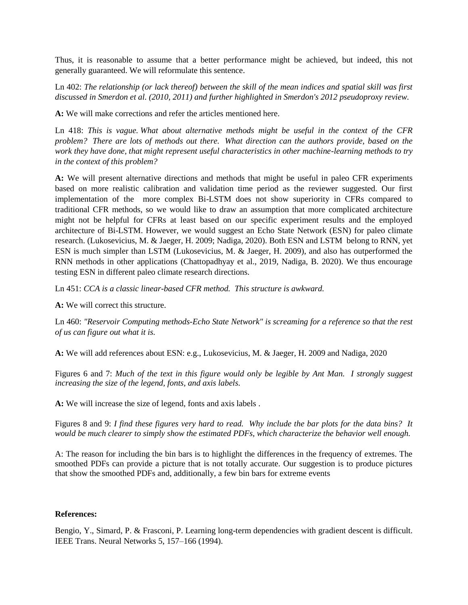Thus, it is reasonable to assume that a better performance might be achieved, but indeed, this not generally guaranteed. We will reformulate this sentence.

Ln 402: *The relationship (or lack thereof) between the skill of the mean indices and spatial skill was first discussed in Smerdon et al. (2010, 2011) and further highlighted in Smerdon's 2012 pseudoproxy review.*

**A:** We will make corrections and refer the articles mentioned here.

Ln 418: *This is vague. What about alternative methods might be useful in the context of the CFR problem? There are lots of methods out there. What direction can the authors provide, based on the work they have done, that might represent useful characteristics in other machine-learning methods to try in the context of this problem?*

**A:** We will present alternative directions and methods that might be useful in paleo CFR experiments based on more realistic calibration and validation time period as the reviewer suggested. Our first implementation of the more complex Bi-LSTM does not show superiority in CFRs compared to traditional CFR methods, so we would like to draw an assumption that more complicated architecture might not be helpful for CFRs at least based on our specific experiment results and the employed architecture of Bi-LSTM. However, we would suggest an Echo State Network (ESN) for paleo climate research. (Lukosevicius, M. & Jaeger, H. 2009; Nadiga, 2020). Both ESN and LSTM belong to RNN, yet ESN is much simpler than LSTM (Lukosevicius, M. & Jaeger, H. 2009), and also has outperformed the RNN methods in other applications (Chattopadhyay et al., 2019, Nadiga, B. 2020). We thus encourage testing ESN in different paleo climate research directions.

Ln 451: *CCA is a classic linear-based CFR method. This structure is awkward.*

**A:** We will correct this structure.

Ln 460: *"Reservoir Computing methods-Echo State Network" is screaming for a reference so that the rest of us can figure out what it is.*

**A:** We will add references about ESN: e.g., Lukosevicius, M. & Jaeger, H. 2009 and Nadiga, 2020

Figures 6 and 7: *Much of the text in this figure would only be legible by Ant Man. I strongly suggest increasing the size of the legend, fonts, and axis labels.*

**A:** We will increase the size of legend, fonts and axis labels .

Figures 8 and 9: *I find these figures very hard to read. Why include the bar plots for the data bins? It would be much clearer to simply show the estimated PDFs, which characterize the behavior well enough.*

A: The reason for including the bin bars is to highlight the differences in the frequency of extremes. The smoothed PDFs can provide a picture that is not totally accurate. Our suggestion is to produce pictures that show the smoothed PDFs and, additionally, a few bin bars for extreme events

#### **References:**

Bengio, Y., Simard, P. & Frasconi, P. Learning long-term dependencies with gradient descent is difficult. IEEE Trans. Neural Networks 5, 157–166 (1994).